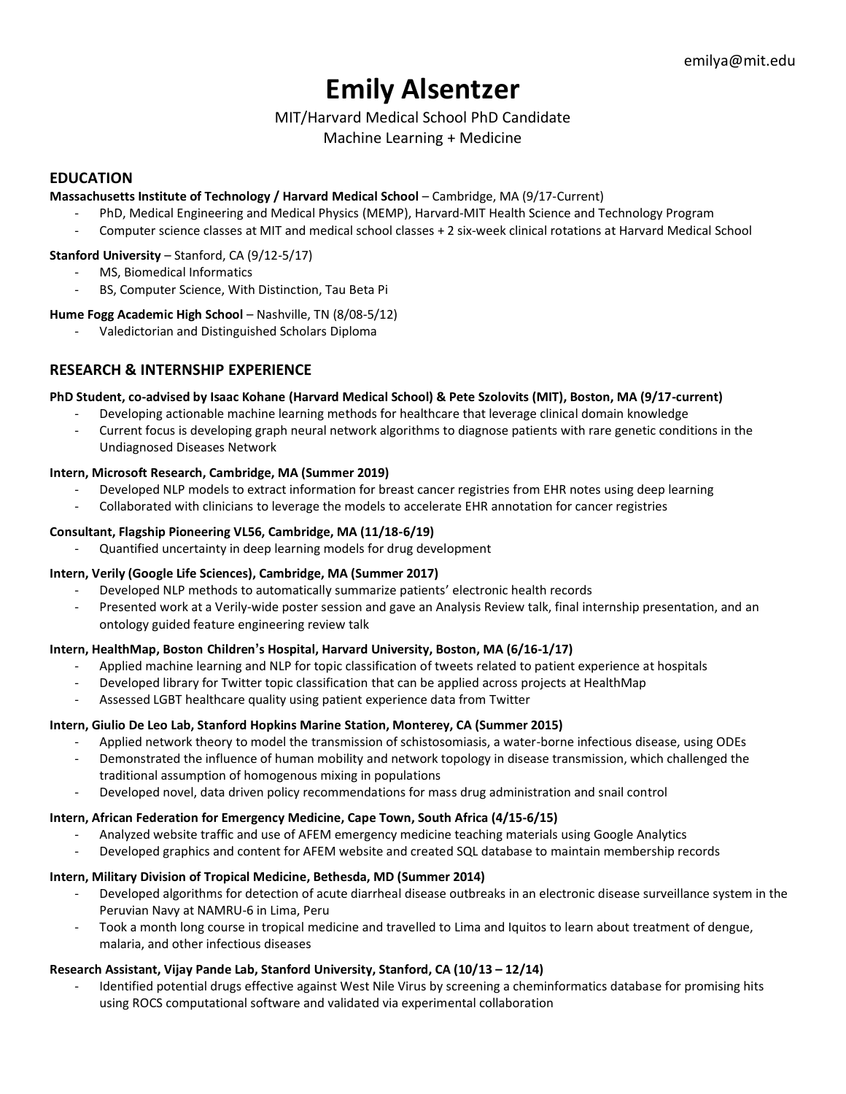# **Emily Alsentzer**

# MIT/Harvard Medical School PhD Candidate

Machine Learning + Medicine

# **EDUCATION**

## **Massachusetts Institute of Technology / Harvard Medical School** – Cambridge, MA (9/17-Current)

- PhD, Medical Engineering and Medical Physics (MEMP), Harvard-MIT Health Science and Technology Program
- Computer science classes at MIT and medical school classes + 2 six-week clinical rotations at Harvard Medical School

## **Stanford University** – Stanford, CA (9/12-5/17)

- MS, Biomedical Informatics
- BS, Computer Science, With Distinction, Tau Beta Pi

# **Hume Fogg Academic High School** – Nashville, TN (8/08-5/12)

- Valedictorian and Distinguished Scholars Diploma

# **RESEARCH & INTERNSHIP EXPERIENCE**

## **PhD Student, co-advised by Isaac Kohane (Harvard Medical School) & Pete Szolovits (MIT), Boston, MA (9/17-current)**

- Developing actionable machine learning methods for healthcare that leverage clinical domain knowledge
- Current focus is developing graph neural network algorithms to diagnose patients with rare genetic conditions in the Undiagnosed Diseases Network

## **Intern, Microsoft Research, Cambridge, MA (Summer 2019)**

- Developed NLP models to extract information for breast cancer registries from EHR notes using deep learning
- Collaborated with clinicians to leverage the models to accelerate EHR annotation for cancer registries

## **Consultant, Flagship Pioneering VL56, Cambridge, MA (11/18-6/19)**

- Quantified uncertainty in deep learning models for drug development

# **Intern, Verily (Google Life Sciences), Cambridge, MA (Summer 2017)**

- Developed NLP methods to automatically summarize patients' electronic health records
- Presented work at a Verily-wide poster session and gave an Analysis Review talk, final internship presentation, and an ontology guided feature engineering review talk

# **Intern, HealthMap, Boston Children's Hospital, Harvard University, Boston, MA (6/16-1/17)**

- Applied machine learning and NLP for topic classification of tweets related to patient experience at hospitals
- Developed library for Twitter topic classification that can be applied across projects at HealthMap
- Assessed LGBT healthcare quality using patient experience data from Twitter

# **Intern, Giulio De Leo Lab, Stanford Hopkins Marine Station, Monterey, CA (Summer 2015)**

- Applied network theory to model the transmission of schistosomiasis, a water-borne infectious disease, using ODEs
- Demonstrated the influence of human mobility and network topology in disease transmission, which challenged the traditional assumption of homogenous mixing in populations
- Developed novel, data driven policy recommendations for mass drug administration and snail control

# **Intern, African Federation for Emergency Medicine, Cape Town, South Africa (4/15-6/15)**

- Analyzed website traffic and use of AFEM emergency medicine teaching materials using Google Analytics
- Developed graphics and content for AFEM website and created SQL database to maintain membership records

# **Intern, Military Division of Tropical Medicine, Bethesda, MD (Summer 2014)**

- Developed algorithms for detection of acute diarrheal disease outbreaks in an electronic disease surveillance system in the Peruvian Navy at NAMRU-6 in Lima, Peru
- Took a month long course in tropical medicine and travelled to Lima and Iquitos to learn about treatment of dengue, malaria, and other infectious diseases

# **Research Assistant, Vijay Pande Lab, Stanford University, Stanford, CA (10/13 – 12/14)**

Identified potential drugs effective against West Nile Virus by screening a cheminformatics database for promising hits using ROCS computational software and validated via experimental collaboration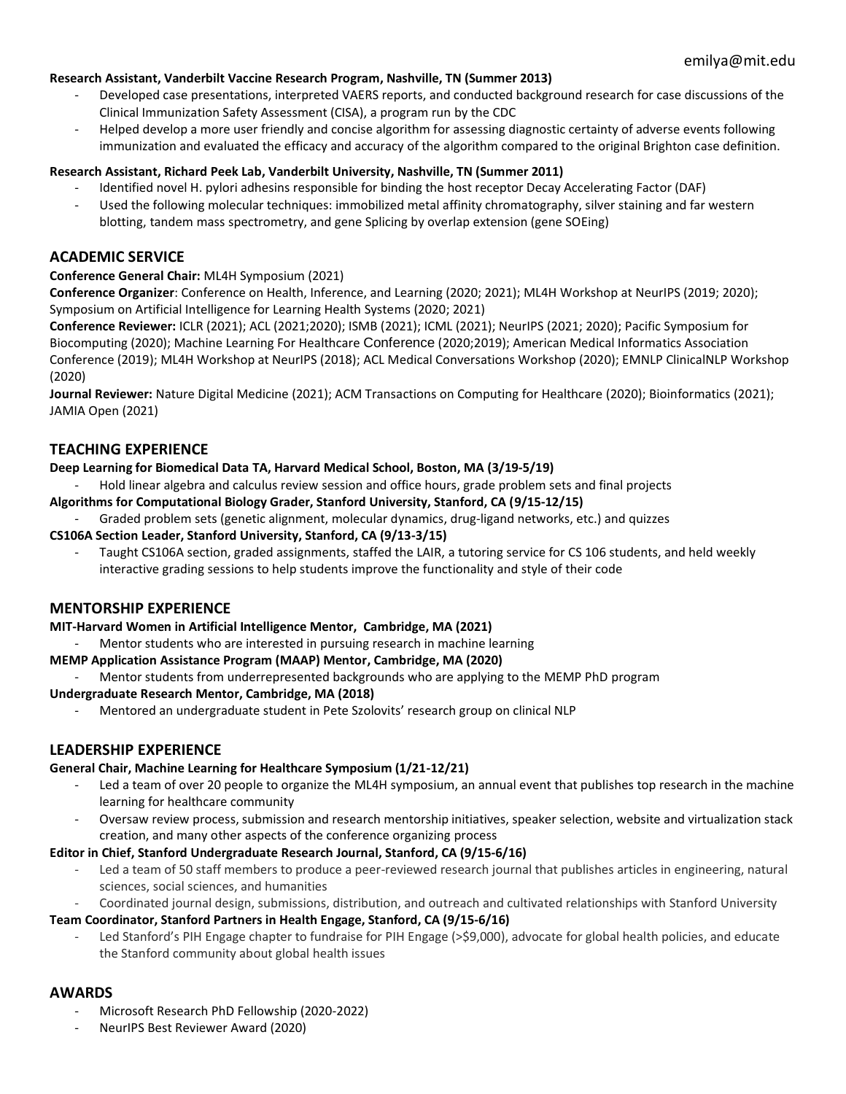## **Research Assistant, Vanderbilt Vaccine Research Program, Nashville, TN (Summer 2013)**

- Developed case presentations, interpreted VAERS reports, and conducted background research for case discussions of the Clinical Immunization Safety Assessment (CISA), a program run by the CDC
- Helped develop a more user friendly and concise algorithm for assessing diagnostic certainty of adverse events following immunization and evaluated the efficacy and accuracy of the algorithm compared to the original Brighton case definition.

#### **Research Assistant, Richard Peek Lab, Vanderbilt University, Nashville, TN (Summer 2011)**

- Identified novel H. pylori adhesins responsible for binding the host receptor Decay Accelerating Factor (DAF)
- Used the following molecular techniques: immobilized metal affinity chromatography, silver staining and far western blotting, tandem mass spectrometry, and gene Splicing by overlap extension (gene SOEing)

## **ACADEMIC SERVICE**

## **Conference General Chair:** ML4H Symposium (2021)

**Conference Organizer**: Conference on Health, Inference, and Learning (2020; 2021); ML4H Workshop at NeurIPS (2019; 2020); Symposium on Artificial Intelligence for Learning Health Systems (2020; 2021)

**Conference Reviewer:** ICLR (2021); ACL (2021;2020); ISMB (2021); ICML (2021); NeurIPS (2021; 2020); Pacific Symposium for Biocomputing (2020); Machine Learning For Healthcare Conference (2020;2019); American Medical Informatics Association Conference (2019); ML4H Workshop at NeurIPS (2018); ACL Medical Conversations Workshop (2020); EMNLP ClinicalNLP Workshop (2020)

**Journal Reviewer:** Nature Digital Medicine (2021); ACM Transactions on Computing for Healthcare (2020); Bioinformatics (2021); JAMIA Open (2021)

## **TEACHING EXPERIENCE**

#### **Deep Learning for Biomedical Data TA, Harvard Medical School, Boston, MA (3/19-5/19)**

- Hold linear algebra and calculus review session and office hours, grade problem sets and final projects

#### **Algorithms for Computational Biology Grader, Stanford University, Stanford, CA (9/15-12/15)**

- Graded problem sets (genetic alignment, molecular dynamics, drug-ligand networks, etc.) and quizzes

#### **CS106A Section Leader, Stanford University, Stanford, CA (9/13-3/15)**

Taught CS106A section, graded assignments, staffed the LAIR, a tutoring service for CS 106 students, and held weekly interactive grading sessions to help students improve the functionality and style of their code

## **MENTORSHIP EXPERIENCE**

#### **MIT-Harvard Women in Artificial Intelligence Mentor, Cambridge, MA (2021)**

Mentor students who are interested in pursuing research in machine learning

## **MEMP Application Assistance Program (MAAP) Mentor, Cambridge, MA (2020)**

Mentor students from underrepresented backgrounds who are applying to the MEMP PhD program

#### **Undergraduate Research Mentor, Cambridge, MA (2018)**

- Mentored an undergraduate student in Pete Szolovits' research group on clinical NLP

## **LEADERSHIP EXPERIENCE**

#### **General Chair, Machine Learning for Healthcare Symposium (1/21-12/21)**

- Led a team of over 20 people to organize the ML4H symposium, an annual event that publishes top research in the machine learning for healthcare community
- Oversaw review process, submission and research mentorship initiatives, speaker selection, website and virtualization stack creation, and many other aspects of the conference organizing process

#### **Editor in Chief, Stanford Undergraduate Research Journal, Stanford, CA (9/15-6/16)**

- Led a team of 50 staff members to produce a peer-reviewed research journal that publishes articles in engineering, natural sciences, social sciences, and humanities
- Coordinated journal design, submissions, distribution, and outreach and cultivated relationships with Stanford University

## **Team Coordinator, Stanford Partners in Health Engage, Stanford, CA (9/15-6/16)**

Led Stanford's PIH Engage chapter to fundraise for PIH Engage (>\$9,000), advocate for global health policies, and educate the Stanford community about global health issues

# **AWARDS**

- Microsoft Research PhD Fellowship (2020-2022)
- NeurIPS Best Reviewer Award (2020)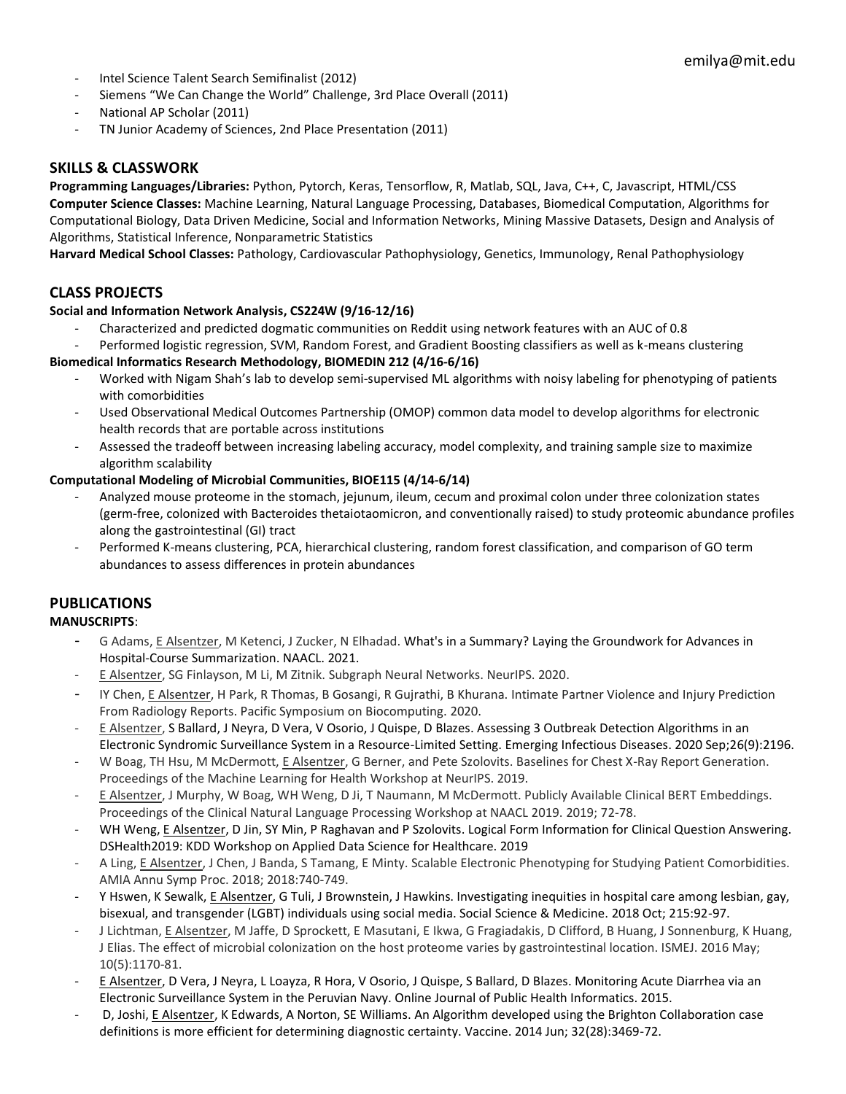- Intel Science Talent Search Semifinalist (2012)
- Siemens "We Can Change the World" Challenge, 3rd Place Overall (2011)
- National AP Scholar (2011)
- TN Junior Academy of Sciences, 2nd Place Presentation (2011)

# **SKILLS & CLASSWORK**

**Programming Languages/Libraries:** Python, Pytorch, Keras, Tensorflow, R, Matlab, SQL, Java, C++, C, Javascript, HTML/CSS **Computer Science Classes:** Machine Learning, Natural Language Processing, Databases, Biomedical Computation, Algorithms for Computational Biology, Data Driven Medicine, Social and Information Networks, Mining Massive Datasets, Design and Analysis of Algorithms, Statistical Inference, Nonparametric Statistics

**Harvard Medical School Classes:** Pathology, Cardiovascular Pathophysiology, Genetics, Immunology, Renal Pathophysiology

# **CLASS PROJECTS**

## **Social and Information Network Analysis, CS224W (9/16-12/16)**

- Characterized and predicted dogmatic communities on Reddit using network features with an AUC of 0.8
- Performed logistic regression, SVM, Random Forest, and Gradient Boosting classifiers as well as k-means clustering

#### **Biomedical Informatics Research Methodology, BIOMEDIN 212 (4/16-6/16)**

- Worked with Nigam Shah's lab to develop semi-supervised ML algorithms with noisy labeling for phenotyping of patients with comorbidities
- Used Observational Medical Outcomes Partnership (OMOP) common data model to develop algorithms for electronic health records that are portable across institutions
- Assessed the tradeoff between increasing labeling accuracy, model complexity, and training sample size to maximize algorithm scalability

#### **Computational Modeling of Microbial Communities, BIOE115 (4/14-6/14)**

- Analyzed mouse proteome in the stomach, jejunum, ileum, cecum and proximal colon under three colonization states (germ-free, colonized with Bacteroides thetaiotaomicron, and conventionally raised) to study proteomic abundance profiles along the gastrointestinal (GI) tract
- Performed K-means clustering, PCA, hierarchical clustering, random forest classification, and comparison of GO term abundances to assess differences in protein abundances

# **PUBLICATIONS**

## **MANUSCRIPTS**:

- G Adams, E Alsentzer, M Ketenci, J Zucker, N Elhadad[. What's in a Summary? Laying the Groundwork for Advances in](https://scholar.google.com/citations?view_op=view_citation&hl=en&user=wKcw9Y8AAAAJ&sortby=pubdate&citation_for_view=wKcw9Y8AAAAJ:UebtZRa9Y70C)  [Hospital-Course Summarization.](https://scholar.google.com/citations?view_op=view_citation&hl=en&user=wKcw9Y8AAAAJ&sortby=pubdate&citation_for_view=wKcw9Y8AAAAJ:UebtZRa9Y70C) NAACL. 2021.
- E Alsentzer, SG Finlayson, M Li, M Zitnik. Subgraph Neural Networks. NeurIPS. 2020.
- IY Chen, E Alsentzer, H Park, R Thomas, B Gosangi, R Gujrathi, B Khurana. Intimate Partner Violence and Injury Prediction From Radiology Reports. Pacific Symposium on Biocomputing. 2020.
- E Alsentzer, S Ballard, J Neyra, D Vera, V Osorio, J Quispe, D Blazes. Assessing 3 Outbreak Detection Algorithms in an Electronic Syndromic Surveillance System in a Resource-Limited Setting. Emerging Infectious Diseases. 2020 Sep;26(9):2196.
- W Boag, TH Hsu, M McDermott, E Alsentzer, G Berner, and Pete Szolovits. Baselines for Chest X-Ray Report Generation. Proceedings of the Machine Learning for Health Workshop at NeurIPS. 2019.
- E Alsentzer, J Murphy, W Boag, WH Weng, D Ji, T Naumann, M McDermott. Publicly Available Clinical BERT Embeddings. Proceedings of the Clinical Natural Language Processing Workshop at NAACL 2019. 2019; 72-78.
- WH Weng, E Alsentzer, D Jin, SY Min, P Raghavan and P Szolovits. Logical Form Information for Clinical Question Answering. DSHealth2019: KDD Workshop on Applied Data Science for Healthcare. 2019
- A Ling, E Alsentzer, J Chen, J Banda, S Tamang, E Minty. Scalable Electronic Phenotyping for Studying Patient Comorbidities. AMIA Annu Symp Proc. 2018; 2018:740-749.
- Y Hswen, K Sewalk, E Alsentzer, G Tuli, J Brownstein, J Hawkins. Investigating inequities in hospital care among lesbian, gay, bisexual, and transgender (LGBT) individuals using social media. Social Science & Medicine. 2018 Oct; 215:92-97.
- J Lichtman, E Alsentzer, M Jaffe, D Sprockett, E Masutani, E Ikwa, G Fragiadakis, D Clifford, B Huang, J Sonnenburg, K Huang, J Elias. The effect of microbial colonization on the host proteome varies by gastrointestinal location. ISMEJ. 2016 May; 10(5):1170-81.
- E Alsentzer, D Vera, J Neyra, L Loayza, R Hora, V Osorio, J Quispe, S Ballard, D Blazes. Monitoring Acute Diarrhea via an Electronic Surveillance System in the Peruvian Navy. Online Journal of Public Health Informatics. 2015.
- D, Joshi, E Alsentzer, K Edwards, A Norton, SE Williams. An Algorithm developed using the Brighton Collaboration case definitions is more efficient for determining diagnostic certainty. Vaccine. 2014 Jun; 32(28):3469-72.